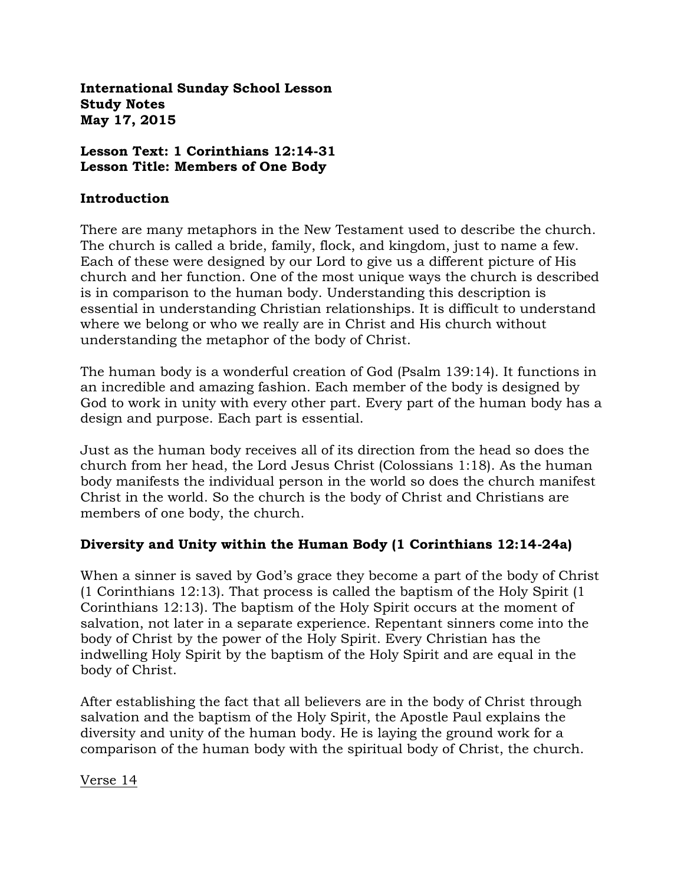**International Sunday School Lesson Study Notes May 17, 2015**

#### **Lesson Text: 1 Corinthians 12:14-31 Lesson Title: Members of One Body**

#### **Introduction**

There are many metaphors in the New Testament used to describe the church. The church is called a bride, family, flock, and kingdom, just to name a few. Each of these were designed by our Lord to give us a different picture of His church and her function. One of the most unique ways the church is described is in comparison to the human body. Understanding this description is essential in understanding Christian relationships. It is difficult to understand where we belong or who we really are in Christ and His church without understanding the metaphor of the body of Christ.

The human body is a wonderful creation of God (Psalm 139:14). It functions in an incredible and amazing fashion. Each member of the body is designed by God to work in unity with every other part. Every part of the human body has a design and purpose. Each part is essential.

Just as the human body receives all of its direction from the head so does the church from her head, the Lord Jesus Christ (Colossians 1:18). As the human body manifests the individual person in the world so does the church manifest Christ in the world. So the church is the body of Christ and Christians are members of one body, the church.

## **Diversity and Unity within the Human Body (1 Corinthians 12:14-24a)**

When a sinner is saved by God's grace they become a part of the body of Christ (1 Corinthians 12:13). That process is called the baptism of the Holy Spirit (1 Corinthians 12:13). The baptism of the Holy Spirit occurs at the moment of salvation, not later in a separate experience. Repentant sinners come into the body of Christ by the power of the Holy Spirit. Every Christian has the indwelling Holy Spirit by the baptism of the Holy Spirit and are equal in the body of Christ.

After establishing the fact that all believers are in the body of Christ through salvation and the baptism of the Holy Spirit, the Apostle Paul explains the diversity and unity of the human body. He is laying the ground work for a comparison of the human body with the spiritual body of Christ, the church.

Verse 14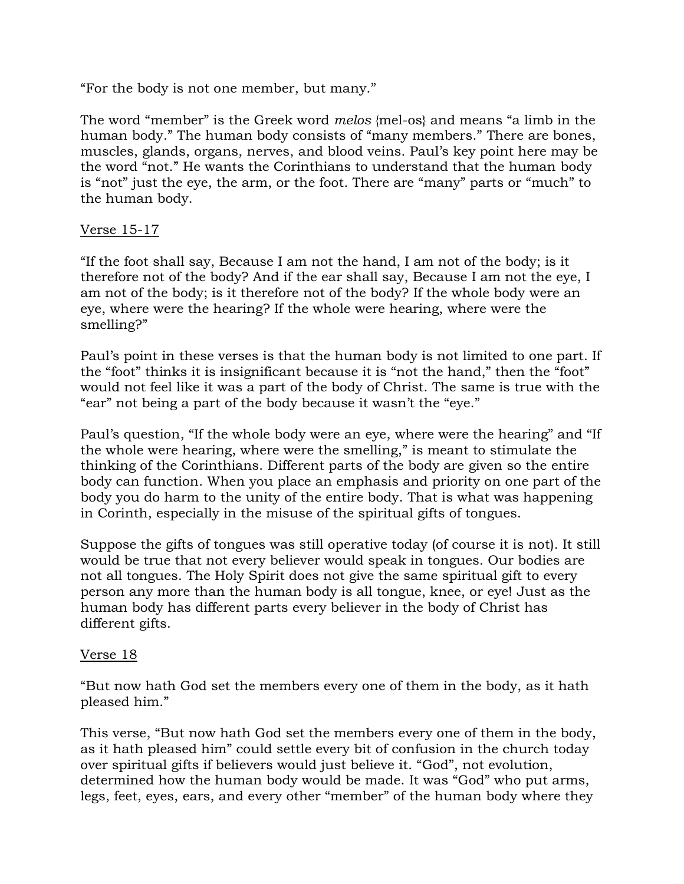"For the body is not one member, but many."

The word "member" is the Greek word *melos* {mel-os} and means "a limb in the human body." The human body consists of "many members." There are bones, muscles, glands, organs, nerves, and blood veins. Paul's key point here may be the word "not." He wants the Corinthians to understand that the human body is "not" just the eye, the arm, or the foot. There are "many" parts or "much" to the human body.

## Verse 15-17

"If the foot shall say, Because I am not the hand, I am not of the body; is it therefore not of the body? And if the ear shall say, Because I am not the eye, I am not of the body; is it therefore not of the body? If the whole body were an eye, where were the hearing? If the whole were hearing, where were the smelling?"

Paul's point in these verses is that the human body is not limited to one part. If the "foot" thinks it is insignificant because it is "not the hand," then the "foot" would not feel like it was a part of the body of Christ. The same is true with the "ear" not being a part of the body because it wasn't the "eye."

Paul's question, "If the whole body were an eye, where were the hearing" and "If the whole were hearing, where were the smelling," is meant to stimulate the thinking of the Corinthians. Different parts of the body are given so the entire body can function. When you place an emphasis and priority on one part of the body you do harm to the unity of the entire body. That is what was happening in Corinth, especially in the misuse of the spiritual gifts of tongues.

Suppose the gifts of tongues was still operative today (of course it is not). It still would be true that not every believer would speak in tongues. Our bodies are not all tongues. The Holy Spirit does not give the same spiritual gift to every person any more than the human body is all tongue, knee, or eye! Just as the human body has different parts every believer in the body of Christ has different gifts.

## Verse 18

"But now hath God set the members every one of them in the body, as it hath pleased him."

This verse, "But now hath God set the members every one of them in the body, as it hath pleased him" could settle every bit of confusion in the church today over spiritual gifts if believers would just believe it. "God", not evolution, determined how the human body would be made. It was "God" who put arms, legs, feet, eyes, ears, and every other "member" of the human body where they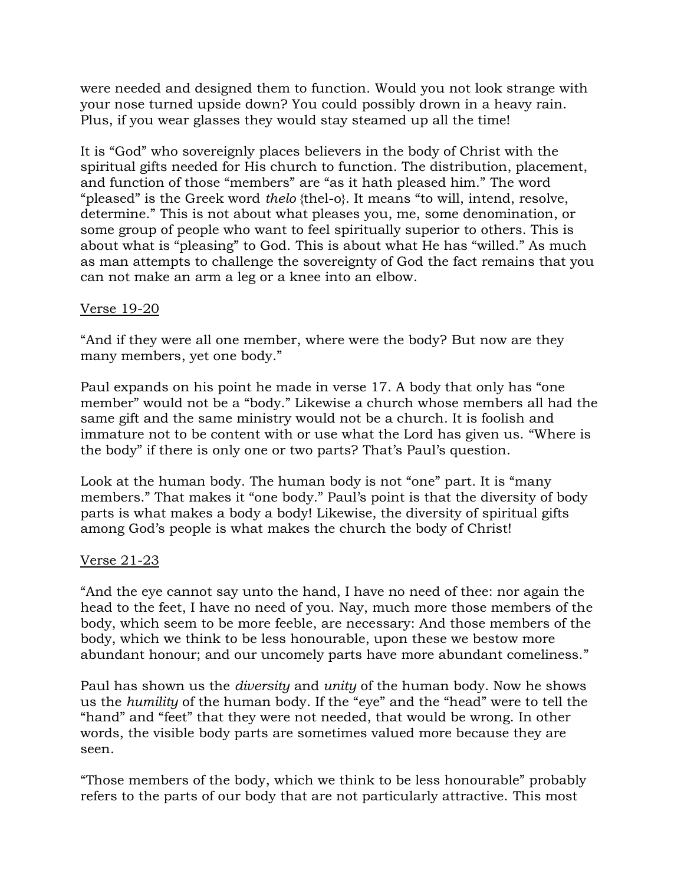were needed and designed them to function. Would you not look strange with your nose turned upside down? You could possibly drown in a heavy rain. Plus, if you wear glasses they would stay steamed up all the time!

It is "God" who sovereignly places believers in the body of Christ with the spiritual gifts needed for His church to function. The distribution, placement, and function of those "members" are "as it hath pleased him." The word "pleased" is the Greek word *thelo* {thel-o}. It means "to will, intend, resolve, determine." This is not about what pleases you, me, some denomination, or some group of people who want to feel spiritually superior to others. This is about what is "pleasing" to God. This is about what He has "willed." As much as man attempts to challenge the sovereignty of God the fact remains that you can not make an arm a leg or a knee into an elbow.

### Verse 19-20

"And if they were all one member, where were the body? But now are they many members, yet one body."

Paul expands on his point he made in verse 17. A body that only has "one member" would not be a "body." Likewise a church whose members all had the same gift and the same ministry would not be a church. It is foolish and immature not to be content with or use what the Lord has given us. "Where is the body" if there is only one or two parts? That's Paul's question.

Look at the human body. The human body is not "one" part. It is "many members." That makes it "one body." Paul's point is that the diversity of body parts is what makes a body a body! Likewise, the diversity of spiritual gifts among God's people is what makes the church the body of Christ!

#### Verse 21-23

"And the eye cannot say unto the hand, I have no need of thee: nor again the head to the feet, I have no need of you. Nay, much more those members of the body, which seem to be more feeble, are necessary: And those members of the body, which we think to be less honourable, upon these we bestow more abundant honour; and our uncomely parts have more abundant comeliness."

Paul has shown us the *diversity* and *unity* of the human body. Now he shows us the *humility* of the human body. If the "eye" and the "head" were to tell the "hand" and "feet" that they were not needed, that would be wrong. In other words, the visible body parts are sometimes valued more because they are seen.

"Those members of the body, which we think to be less honourable" probably refers to the parts of our body that are not particularly attractive. This most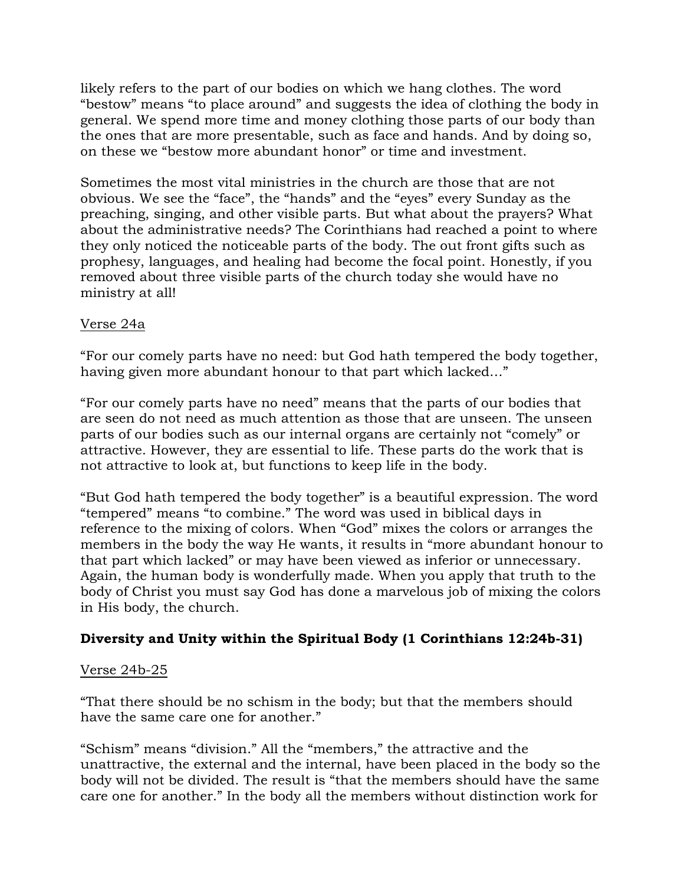likely refers to the part of our bodies on which we hang clothes. The word "bestow" means "to place around" and suggests the idea of clothing the body in general. We spend more time and money clothing those parts of our body than the ones that are more presentable, such as face and hands. And by doing so, on these we "bestow more abundant honor" or time and investment.

Sometimes the most vital ministries in the church are those that are not obvious. We see the "face", the "hands" and the "eyes" every Sunday as the preaching, singing, and other visible parts. But what about the prayers? What about the administrative needs? The Corinthians had reached a point to where they only noticed the noticeable parts of the body. The out front gifts such as prophesy, languages, and healing had become the focal point. Honestly, if you removed about three visible parts of the church today she would have no ministry at all!

### Verse 24a

"For our comely parts have no need: but God hath tempered the body together, having given more abundant honour to that part which lacked…"

"For our comely parts have no need" means that the parts of our bodies that are seen do not need as much attention as those that are unseen. The unseen parts of our bodies such as our internal organs are certainly not "comely" or attractive. However, they are essential to life. These parts do the work that is not attractive to look at, but functions to keep life in the body.

"But God hath tempered the body together" is a beautiful expression. The word "tempered" means "to combine." The word was used in biblical days in reference to the mixing of colors. When "God" mixes the colors or arranges the members in the body the way He wants, it results in "more abundant honour to that part which lacked" or may have been viewed as inferior or unnecessary. Again, the human body is wonderfully made. When you apply that truth to the body of Christ you must say God has done a marvelous job of mixing the colors in His body, the church.

## **Diversity and Unity within the Spiritual Body (1 Corinthians 12:24b-31)**

#### Verse 24b-25

"That there should be no schism in the body; but that the members should have the same care one for another."

"Schism" means "division." All the "members," the attractive and the unattractive, the external and the internal, have been placed in the body so the body will not be divided. The result is "that the members should have the same care one for another." In the body all the members without distinction work for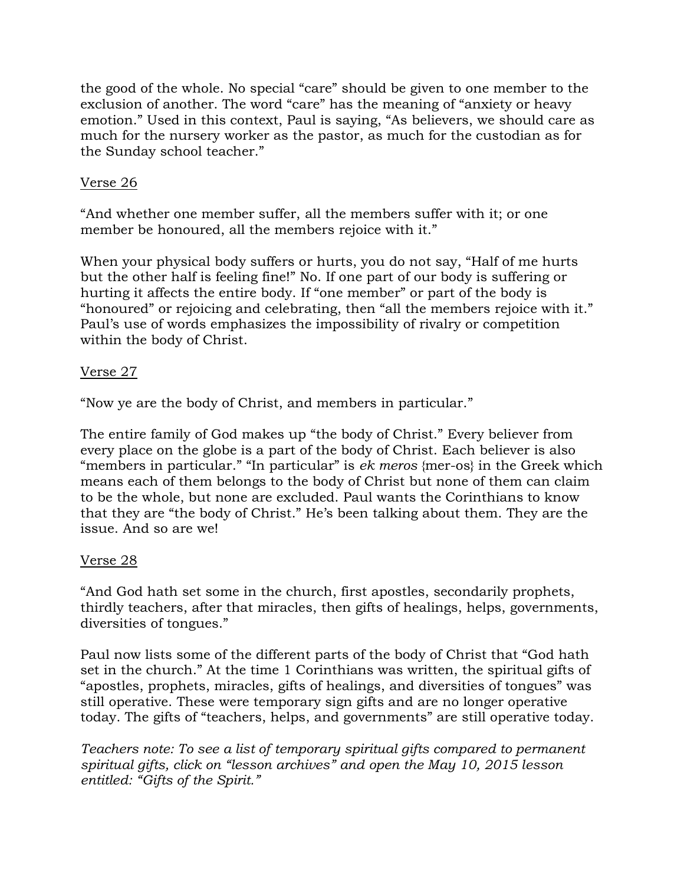the good of the whole. No special "care" should be given to one member to the exclusion of another. The word "care" has the meaning of "anxiety or heavy emotion." Used in this context, Paul is saying, "As believers, we should care as much for the nursery worker as the pastor, as much for the custodian as for the Sunday school teacher."

## Verse 26

"And whether one member suffer, all the members suffer with it; or one member be honoured, all the members rejoice with it."

When your physical body suffers or hurts, you do not say, "Half of me hurts but the other half is feeling fine!" No. If one part of our body is suffering or hurting it affects the entire body. If "one member" or part of the body is "honoured" or rejoicing and celebrating, then "all the members rejoice with it." Paul's use of words emphasizes the impossibility of rivalry or competition within the body of Christ.

## Verse 27

"Now ye are the body of Christ, and members in particular."

The entire family of God makes up "the body of Christ." Every believer from every place on the globe is a part of the body of Christ. Each believer is also "members in particular." "In particular" is *ek meros* {mer-os} in the Greek which means each of them belongs to the body of Christ but none of them can claim to be the whole, but none are excluded. Paul wants the Corinthians to know that they are "the body of Christ." He's been talking about them. They are the issue. And so are we!

## Verse 28

"And God hath set some in the church, first apostles, secondarily prophets, thirdly teachers, after that miracles, then gifts of healings, helps, governments, diversities of tongues."

Paul now lists some of the different parts of the body of Christ that "God hath set in the church." At the time 1 Corinthians was written, the spiritual gifts of "apostles, prophets, miracles, gifts of healings, and diversities of tongues" was still operative. These were temporary sign gifts and are no longer operative today. The gifts of "teachers, helps, and governments" are still operative today.

*Teachers note: To see a list of temporary spiritual gifts compared to permanent spiritual gifts, click on "lesson archives" and open the May 10, 2015 lesson entitled: "Gifts of the Spirit."*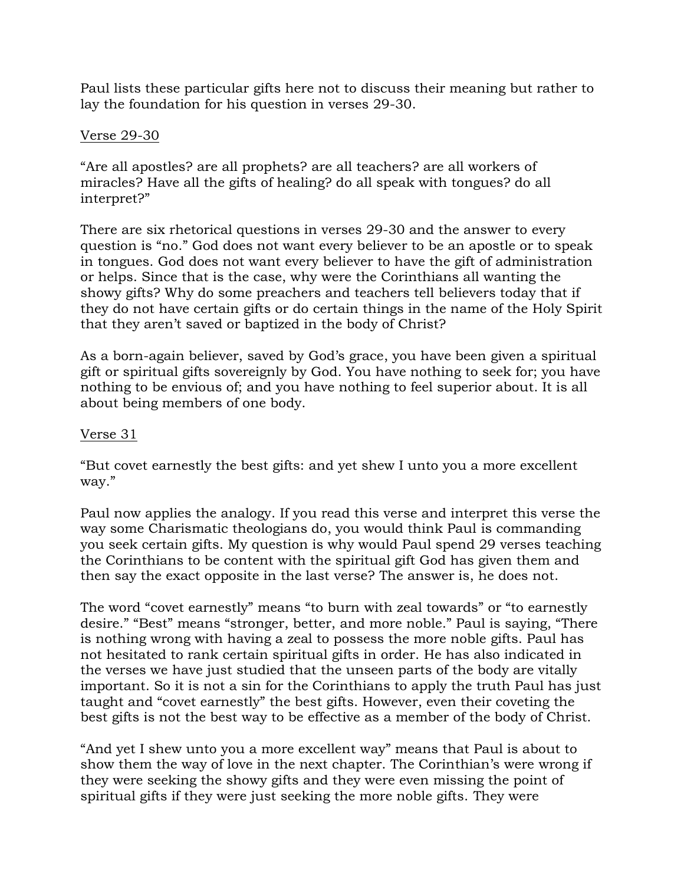Paul lists these particular gifts here not to discuss their meaning but rather to lay the foundation for his question in verses 29-30.

### Verse 29-30

"Are all apostles? are all prophets? are all teachers? are all workers of miracles? Have all the gifts of healing? do all speak with tongues? do all interpret?"

There are six rhetorical questions in verses 29-30 and the answer to every question is "no." God does not want every believer to be an apostle or to speak in tongues. God does not want every believer to have the gift of administration or helps. Since that is the case, why were the Corinthians all wanting the showy gifts? Why do some preachers and teachers tell believers today that if they do not have certain gifts or do certain things in the name of the Holy Spirit that they aren't saved or baptized in the body of Christ?

As a born-again believer, saved by God's grace, you have been given a spiritual gift or spiritual gifts sovereignly by God. You have nothing to seek for; you have nothing to be envious of; and you have nothing to feel superior about. It is all about being members of one body.

### Verse 31

"But covet earnestly the best gifts: and yet shew I unto you a more excellent way."

Paul now applies the analogy. If you read this verse and interpret this verse the way some Charismatic theologians do, you would think Paul is commanding you seek certain gifts. My question is why would Paul spend 29 verses teaching the Corinthians to be content with the spiritual gift God has given them and then say the exact opposite in the last verse? The answer is, he does not.

The word "covet earnestly" means "to burn with zeal towards" or "to earnestly desire." "Best" means "stronger, better, and more noble." Paul is saying, "There is nothing wrong with having a zeal to possess the more noble gifts. Paul has not hesitated to rank certain spiritual gifts in order. He has also indicated in the verses we have just studied that the unseen parts of the body are vitally important. So it is not a sin for the Corinthians to apply the truth Paul has just taught and "covet earnestly" the best gifts. However, even their coveting the best gifts is not the best way to be effective as a member of the body of Christ.

"And yet I shew unto you a more excellent way" means that Paul is about to show them the way of love in the next chapter. The Corinthian's were wrong if they were seeking the showy gifts and they were even missing the point of spiritual gifts if they were just seeking the more noble gifts. They were